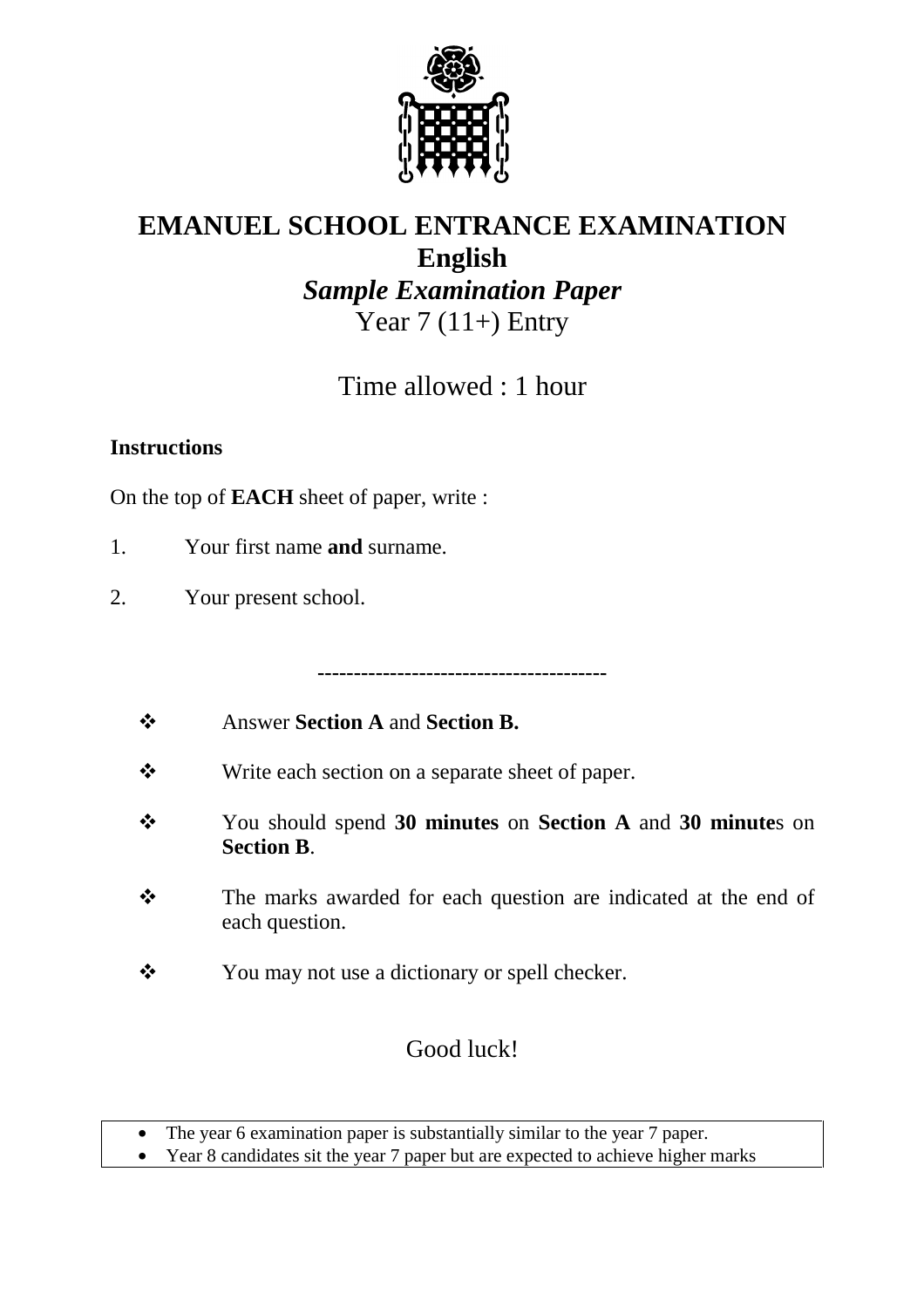

# **EMANUEL SCHOOL ENTRANCE EXAMINATION English**  *Sample Examination Paper*  Year  $7(11+)$  Entry

Time allowed : 1 hour

#### **Instructions**

On the top of **EACH** sheet of paper, write :

- 1. Your first name **and** surname.
- 2. Your present school.

**----------------------------------------** 

- $\cdot$ Answer **Section A** and **Section B.**
- $\cdot$ Write each section on a separate sheet of paper.
- $\frac{1}{2}$  You should spend **30 minutes** on **Section A** and **30 minute**s on **Section B**.
- $\ddot{\cdot}$  The marks awarded for each question are indicated at the end of each question.
- $\frac{1}{2}$ You may not use a dictionary or spell checker.

## Good luck!

• The year 6 examination paper is substantially similar to the year 7 paper.

• Year 8 candidates sit the year 7 paper but are expected to achieve higher marks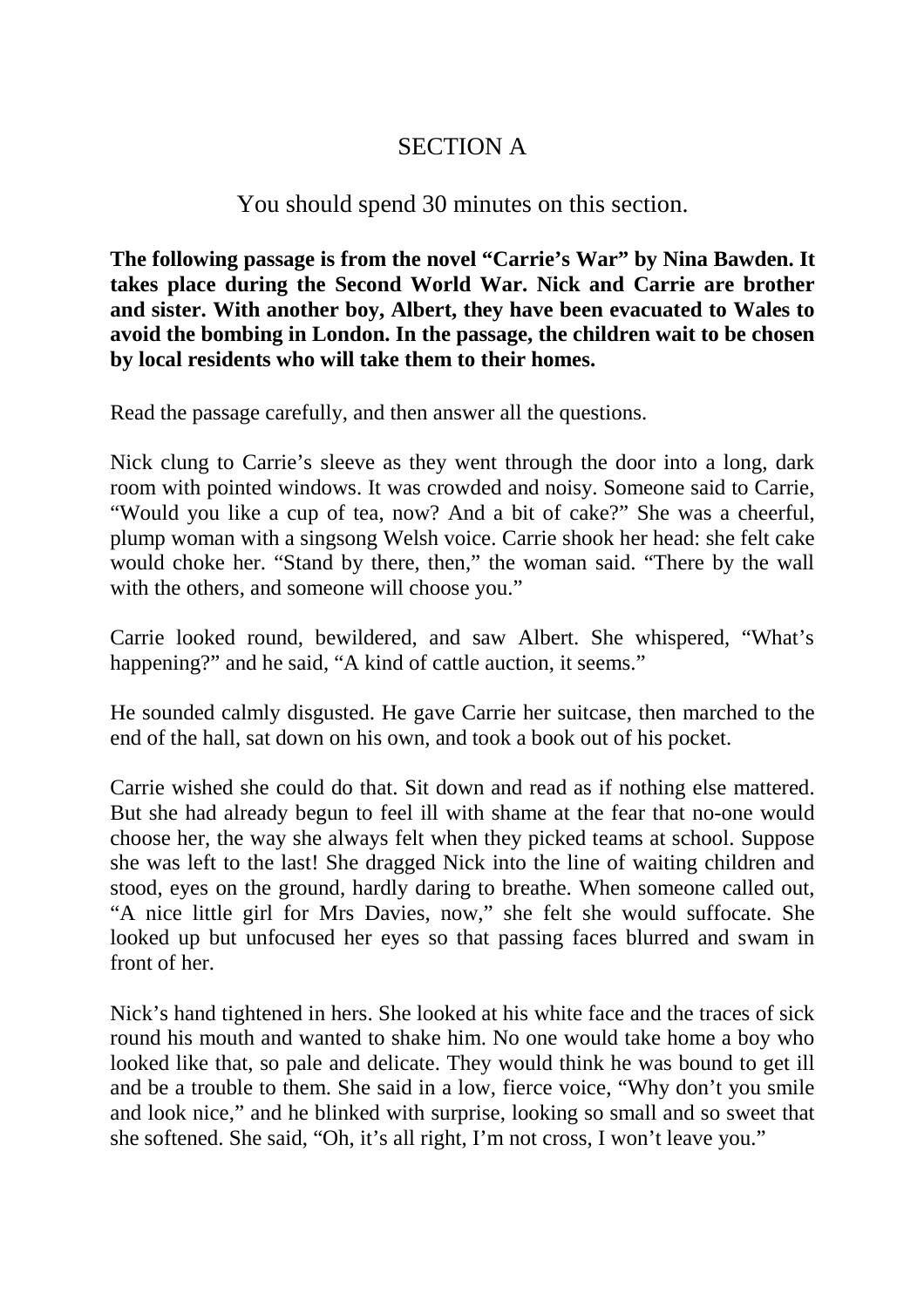### SECTION A

#### You should spend 30 minutes on this section.

**The following passage is from the novel "Carrie's War" by Nina Bawden. It takes place during the Second World War. Nick and Carrie are brother and sister. With another boy, Albert, they have been evacuated to Wales to avoid the bombing in London. In the passage, the children wait to be chosen by local residents who will take them to their homes.** 

Read the passage carefully, and then answer all the questions.

Nick clung to Carrie's sleeve as they went through the door into a long, dark room with pointed windows. It was crowded and noisy. Someone said to Carrie, "Would you like a cup of tea, now? And a bit of cake?" She was a cheerful, plump woman with a singsong Welsh voice. Carrie shook her head: she felt cake would choke her. "Stand by there, then," the woman said. "There by the wall with the others, and someone will choose you."

Carrie looked round, bewildered, and saw Albert. She whispered, "What's happening?" and he said, "A kind of cattle auction, it seems."

He sounded calmly disgusted. He gave Carrie her suitcase, then marched to the end of the hall, sat down on his own, and took a book out of his pocket.

Carrie wished she could do that. Sit down and read as if nothing else mattered. But she had already begun to feel ill with shame at the fear that no-one would choose her, the way she always felt when they picked teams at school. Suppose she was left to the last! She dragged Nick into the line of waiting children and stood, eyes on the ground, hardly daring to breathe. When someone called out, "A nice little girl for Mrs Davies, now," she felt she would suffocate. She looked up but unfocused her eyes so that passing faces blurred and swam in front of her.

Nick's hand tightened in hers. She looked at his white face and the traces of sick round his mouth and wanted to shake him. No one would take home a boy who looked like that, so pale and delicate. They would think he was bound to get ill and be a trouble to them. She said in a low, fierce voice, "Why don't you smile and look nice," and he blinked with surprise, looking so small and so sweet that she softened. She said, "Oh, it's all right, I'm not cross, I won't leave you."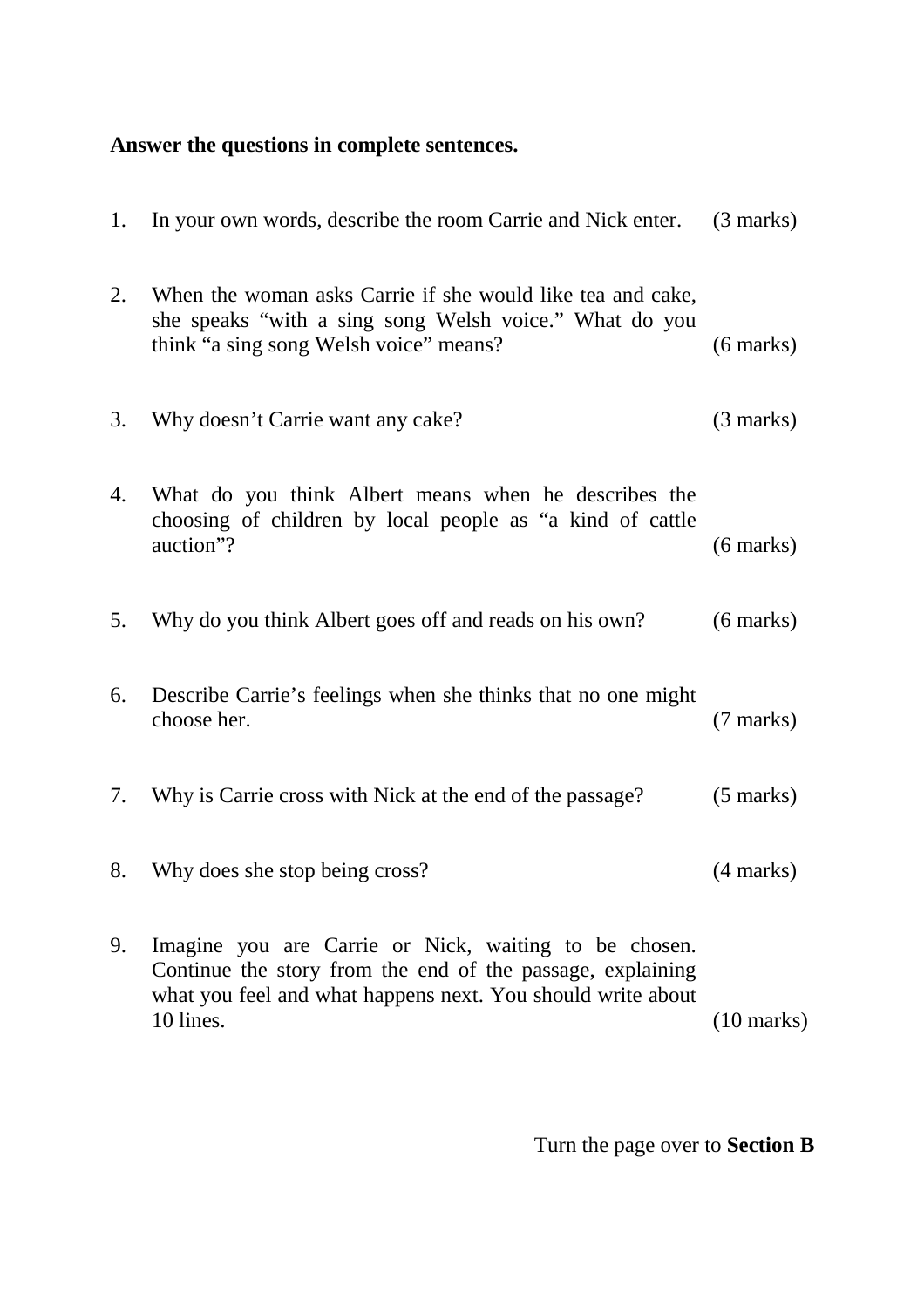## **Answer the questions in complete sentences.**

| 1. | In your own words, describe the room Carrie and Nick enter.                                                                                                                                     | $(3 \text{ marks})$  |
|----|-------------------------------------------------------------------------------------------------------------------------------------------------------------------------------------------------|----------------------|
| 2. | When the woman asks Carrie if she would like tea and cake,<br>she speaks "with a sing song Welsh voice." What do you<br>think "a sing song Welsh voice" means?                                  | $(6 \text{ marks})$  |
| 3. | Why doesn't Carrie want any cake?                                                                                                                                                               | $(3 \text{ marks})$  |
| 4. | What do you think Albert means when he describes the<br>choosing of children by local people as "a kind of cattle<br>auction"?                                                                  | $(6 \text{ marks})$  |
| 5. | Why do you think Albert goes off and reads on his own?                                                                                                                                          | $(6 \text{ marks})$  |
| 6. | Describe Carrie's feelings when she thinks that no one might<br>choose her.                                                                                                                     | $(7 \text{ marks})$  |
| 7. | Why is Carrie cross with Nick at the end of the passage?                                                                                                                                        | $(5 \text{ marks})$  |
| 8. | Why does she stop being cross?                                                                                                                                                                  | $(4 \text{ marks})$  |
| 9. | Imagine you are Carrie or Nick, waiting to be chosen.<br>Continue the story from the end of the passage, explaining<br>what you feel and what happens next. You should write about<br>10 lines. | $(10 \text{ marks})$ |

Turn the page over to **Section B**